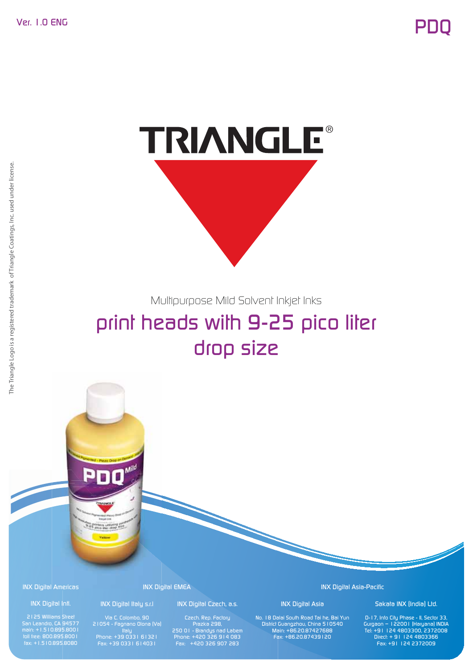

Multipurpose Mild Solvent Inkjet Inks

# print heads with 9-25 pico liter drop size

INX Digital Americas

### INX Digital Intl. 2125 Williams Street

San Leandro, CA 94577 main: +1.510.895.8001 toll free: 800.895.8001 fax: +1.510.895.8080

INX Digital EMEA Dig

### INX Digital Italy s.r.l

Mild

E

21054 - Fagnano Olona (Va) Italy Phone: +39 0331 61321 Fax: +39 0331 614031

INX Digital Czech, a.s.

Czech. Rep. Factory Prazka 298, 250 01 - Brandys nad Labem Phone: +420 326 914 083 Fax: +420 326 907 283

INX Digital Asia-Pacific

INX Digital Asia No. 18 Dalai South Road Tai he, Bai Yun District Guangzhou, China 510540 Main: +86.20.87427688 Fax: +86.20.87439120

### Sakata INX (India) Ltd.

D-17, Info City Phase - II, Sector 33, Gurgaon – 122001 (Haryana) INDIA Tel: +91 124 4803300, 2372008 Direct: + 91 124 4803366 Fax: +91 124 2372009